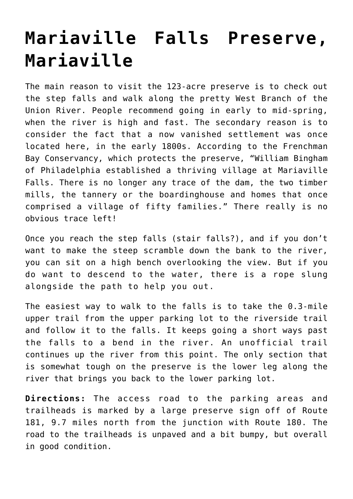## **[Mariaville Falls Preserve,](https://mainebyfoot.com/mariaville-falls-mariaville/) [Mariaville](https://mainebyfoot.com/mariaville-falls-mariaville/)**

The main reason to visit the 123-acre preserve is to check out the step falls and walk along the pretty West Branch of the Union River. People recommend going in early to mid-spring, when the river is high and fast. The secondary reason is to consider the fact that a now vanished settlement was once located here, in the early 1800s. According to the [Frenchman](https://frenchmanbay.org/preserve/mariaville-falls/) [Bay Conservancy,](https://frenchmanbay.org/preserve/mariaville-falls/) which protects the preserve, "William Bingham of Philadelphia established a thriving village at Mariaville Falls. There is no longer any trace of the dam, the two timber mills, the tannery or the boardinghouse and homes that once comprised a village of fifty families." There really is no obvious trace left!

Once you reach the step falls (stair falls?), and if you don't want to make the steep scramble down the bank to the river, you can sit on a high bench overlooking the view. But if you do want to descend to the water, there is a rope slung alongside the path to help you out.

The easiest way to walk to the falls is to take the 0.3-mile upper trail from the upper parking lot to the riverside trail and follow it to the falls. It keeps going a short ways past the falls to a bend in the river. An unofficial trail continues up the river from this point. The only section that is somewhat tough on the preserve is the lower leg along the river that brings you back to the lower parking lot.

**Directions:** The access road to the parking areas and trailheads is marked by a large preserve sign off of Route 181, 9.7 miles north from the junction with Route 180. The road to the trailheads is unpaved and a bit bumpy, but overall in good condition.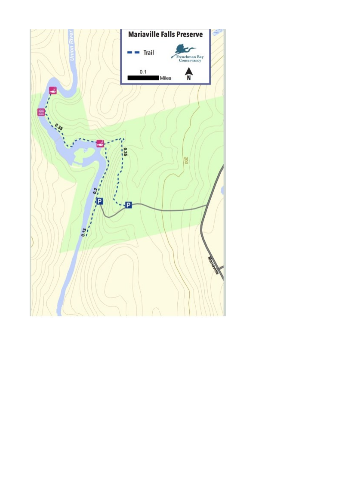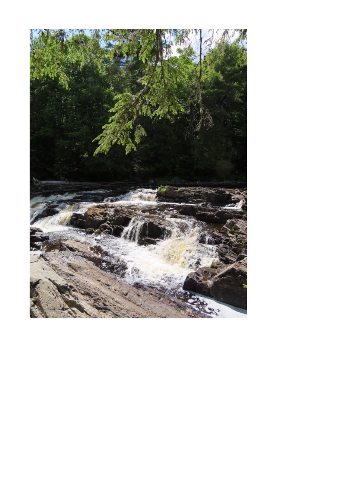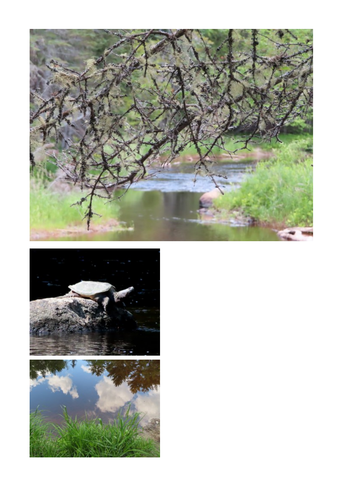